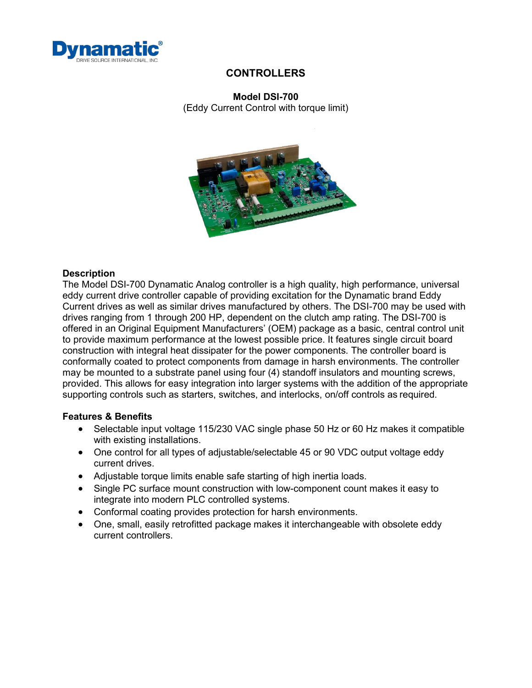

## **Model DSI-700**

(Eddy Current Control with torque limit)



## **Description**

The Model DSI-700 Dynamatic Analog controller is a high quality, high performance, universal eddy current drive controller capable of providing excitation for the Dynamatic brand Eddy Current drives as well as similar drives manufactured by others. The DSI-700 may be used with drives ranging from 1 through 200 HP, dependent on the clutch amp rating. The DSI-700 is offered in an Original Equipment Manufacturers' (OEM) package as a basic, central control unit to provide maximum performance at the lowest possible price. It features single circuit board construction with integral heat dissipater for the power components. The controller board is conformally coated to protect components from damage in harsh environments. The controller may be mounted to a substrate panel using four (4) standoff insulators and mounting screws, provided. This allows for easy integration into larger systems with the addition of the appropriate supporting controls such as starters, switches, and interlocks, on/off controls as required.

#### **Features & Benefits**

- Selectable input voltage 115/230 VAC single phase 50 Hz or 60 Hz makes it compatible with existing installations.
- One control for all types of adjustable/selectable 45 or 90 VDC output voltage eddy current drives.
- Adjustable torque limits enable safe starting of high inertia loads.
- Single PC surface mount construction with low-component count makes it easy to integrate into modern PLC controlled systems.
- Conformal coating provides protection for harsh environments.
- One, small, easily retrofitted package makes it interchangeable with obsolete eddy current controllers.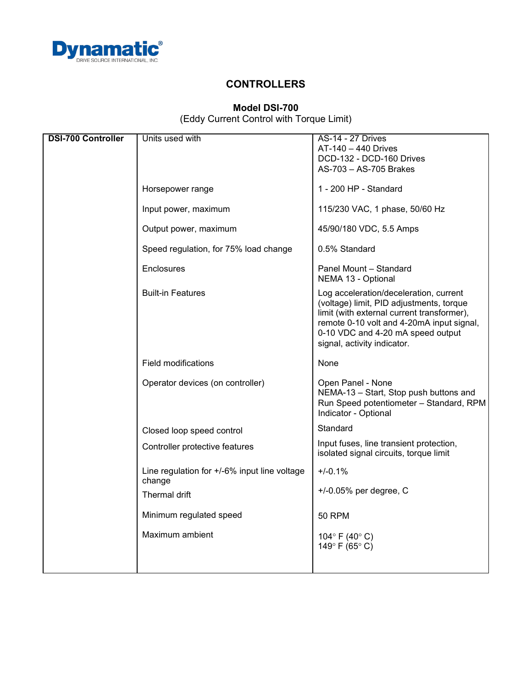

## **Model DSI-700** (Eddy Current Control with Torque Limit)

| <b>DSI-700 Controller</b> | Units used with                                        | <b>AS-14 - 27 Drives</b>                                                                                                                                                                                                                          |
|---------------------------|--------------------------------------------------------|---------------------------------------------------------------------------------------------------------------------------------------------------------------------------------------------------------------------------------------------------|
|                           |                                                        | AT-140 - 440 Drives                                                                                                                                                                                                                               |
|                           |                                                        | DCD-132 - DCD-160 Drives                                                                                                                                                                                                                          |
|                           |                                                        | AS-703 - AS-705 Brakes                                                                                                                                                                                                                            |
|                           |                                                        |                                                                                                                                                                                                                                                   |
|                           | Horsepower range                                       | 1 - 200 HP - Standard                                                                                                                                                                                                                             |
|                           | Input power, maximum                                   | 115/230 VAC, 1 phase, 50/60 Hz                                                                                                                                                                                                                    |
|                           | Output power, maximum                                  | 45/90/180 VDC, 5.5 Amps                                                                                                                                                                                                                           |
|                           | Speed regulation, for 75% load change                  | 0.5% Standard                                                                                                                                                                                                                                     |
|                           | Enclosures                                             | Panel Mount - Standard<br>NEMA 13 - Optional                                                                                                                                                                                                      |
|                           | <b>Built-in Features</b>                               | Log acceleration/deceleration, current<br>(voltage) limit, PID adjustments, torque<br>limit (with external current transformer),<br>remote 0-10 volt and 4-20mA input signal,<br>0-10 VDC and 4-20 mA speed output<br>signal, activity indicator. |
|                           | <b>Field modifications</b>                             | None                                                                                                                                                                                                                                              |
|                           | Operator devices (on controller)                       | Open Panel - None<br>NEMA-13 - Start, Stop push buttons and<br>Run Speed potentiometer - Standard, RPM<br>Indicator - Optional                                                                                                                    |
|                           | Closed loop speed control                              | Standard                                                                                                                                                                                                                                          |
|                           | Controller protective features                         | Input fuses, line transient protection,<br>isolated signal circuits, torque limit                                                                                                                                                                 |
|                           | Line regulation for +/-6% input line voltage<br>change | $+/-0.1%$                                                                                                                                                                                                                                         |
|                           | Thermal drift                                          | $+/-0.05%$ per degree, C                                                                                                                                                                                                                          |
|                           | Minimum regulated speed                                | <b>50 RPM</b>                                                                                                                                                                                                                                     |
|                           | Maximum ambient                                        | 104° F (40° C)                                                                                                                                                                                                                                    |
|                           |                                                        | 149°F (65°C)                                                                                                                                                                                                                                      |
|                           |                                                        |                                                                                                                                                                                                                                                   |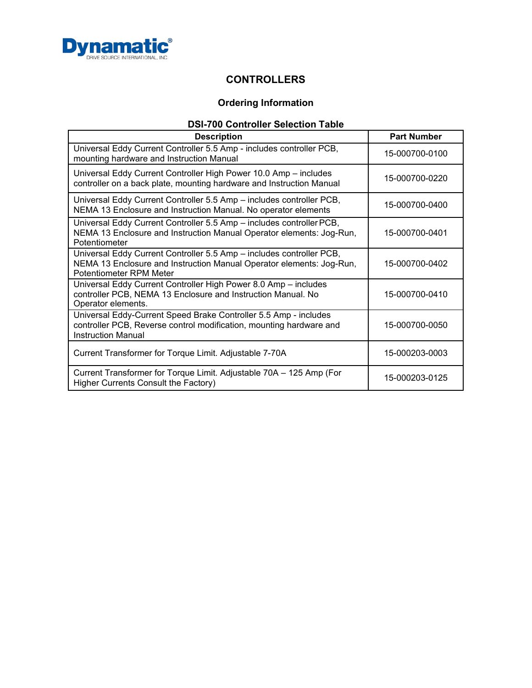

# **Ordering Information**

# **DSI-700 Controller Selection Table**

| <b>Description</b>                                                                                                                                                      | <b>Part Number</b> |
|-------------------------------------------------------------------------------------------------------------------------------------------------------------------------|--------------------|
| Universal Eddy Current Controller 5.5 Amp - includes controller PCB,<br>mounting hardware and Instruction Manual                                                        | 15-000700-0100     |
| Universal Eddy Current Controller High Power 10.0 Amp - includes<br>controller on a back plate, mounting hardware and Instruction Manual                                | 15-000700-0220     |
| Universal Eddy Current Controller 5.5 Amp - includes controller PCB,<br>NEMA 13 Enclosure and Instruction Manual. No operator elements                                  | 15-000700-0400     |
| Universal Eddy Current Controller 5.5 Amp - includes controller PCB,<br>NEMA 13 Enclosure and Instruction Manual Operator elements: Jog-Run,<br>Potentiometer           | 15-000700-0401     |
| Universal Eddy Current Controller 5.5 Amp - includes controller PCB,<br>NEMA 13 Enclosure and Instruction Manual Operator elements: Jog-Run,<br>Potentiometer RPM Meter | 15-000700-0402     |
| Universal Eddy Current Controller High Power 8.0 Amp - includes<br>controller PCB, NEMA 13 Enclosure and Instruction Manual. No<br>Operator elements.                   | 15-000700-0410     |
| Universal Eddy-Current Speed Brake Controller 5.5 Amp - includes<br>controller PCB, Reverse control modification, mounting hardware and<br><b>Instruction Manual</b>    | 15-000700-0050     |
| Current Transformer for Torque Limit. Adjustable 7-70A                                                                                                                  | 15-000203-0003     |
| Current Transformer for Torque Limit. Adjustable 70A - 125 Amp (For<br>Higher Currents Consult the Factory)                                                             | 15-000203-0125     |